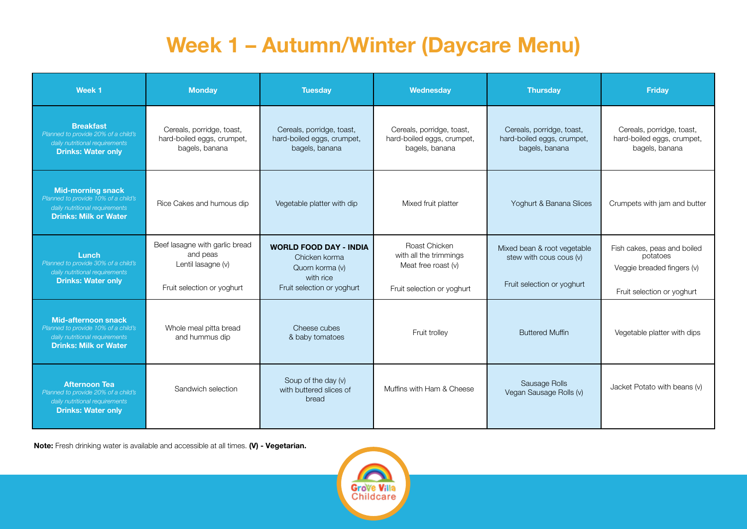## **Week 1 – Autumn/Winter (Daycare Menu)**

| Week <sub>1</sub>                                                                                                                 | <b>Monday</b>                                                                                  | <b>Tuesday</b>                                                                                               | Wednesday                                                                                    | <b>Thursday</b>                                                                      | <b>Friday</b>                                                                                       |
|-----------------------------------------------------------------------------------------------------------------------------------|------------------------------------------------------------------------------------------------|--------------------------------------------------------------------------------------------------------------|----------------------------------------------------------------------------------------------|--------------------------------------------------------------------------------------|-----------------------------------------------------------------------------------------------------|
| <b>Breakfast</b><br>Planned to provide 20% of a child's<br>daily nutritional requirements<br><b>Drinks: Water only</b>            | Cereals, porridge, toast,<br>hard-boiled eggs, crumpet,<br>bagels, banana                      | Cereals, porridge, toast,<br>hard-boiled eggs, crumpet,<br>bagels, banana                                    | Cereals, porridge, toast,<br>hard-boiled eggs, crumpet,<br>bagels, banana                    | Cereals, porridge, toast,<br>hard-boiled eggs, crumpet,<br>bagels, banana            | Cereals, porridge, toast,<br>hard-boiled eggs, crumpet,<br>bagels, banana                           |
| <b>Mid-morning snack</b><br>Planned to provide 10% of a child's<br>daily nutritional requirements<br><b>Drinks: Milk or Water</b> | Rice Cakes and humous dip                                                                      | Vegetable platter with dip                                                                                   | Mixed fruit platter                                                                          | Yoghurt & Banana Slices                                                              | Crumpets with jam and butter                                                                        |
| Lunch<br>Planned to provide 30% of a child's<br>daily nutritional requirements<br><b>Drinks: Water only</b>                       | Beef lasagne with garlic bread<br>and peas<br>Lentil lasagne (v)<br>Fruit selection or yoghurt | <b>WORLD FOOD DAY - INDIA</b><br>Chicken korma<br>Quorn korma (v)<br>with rice<br>Fruit selection or yoghurt | Roast Chicken<br>with all the trimmings<br>Meat free roast (v)<br>Fruit selection or yoghurt | Mixed bean & root vegetable<br>stew with cous cous (v)<br>Fruit selection or yoghurt | Fish cakes, peas and boiled<br>potatoes<br>Veggie breaded fingers (v)<br>Fruit selection or yoghurt |
| Mid-afternoon snack<br>Planned to provide 10% of a child's<br>daily nutritional requirements<br><b>Drinks: Milk or Water</b>      | Whole meal pitta bread<br>and hummus dip                                                       | Cheese cubes<br>& baby tomatoes                                                                              | Fruit trolley                                                                                | <b>Buttered Muffin</b>                                                               | Vegetable platter with dips                                                                         |
| <b>Afternoon Tea</b><br>Planned to provide 20% of a child's<br>daily nutritional requirements<br><b>Drinks: Water only</b>        | Sandwich selection                                                                             | Soup of the day (v)<br>with buttered slices of<br>bread                                                      | Muffins with Ham & Cheese                                                                    | Sausage Rolls<br>Vegan Sausage Rolls (v)                                             | Jacket Potato with beans (v)                                                                        |

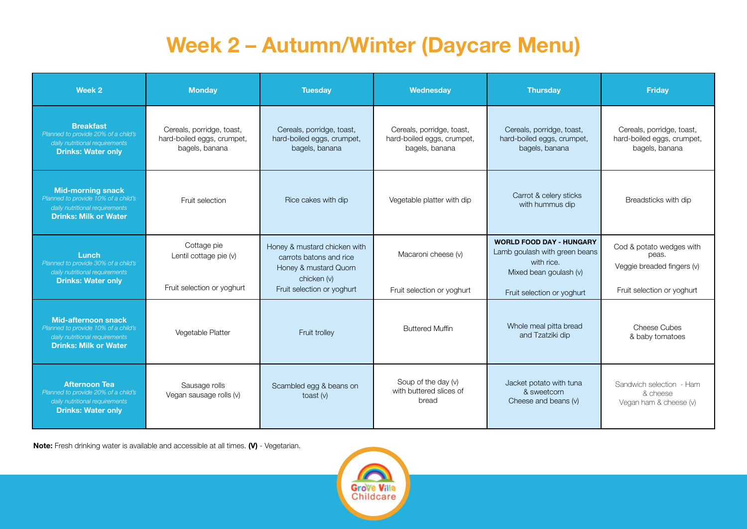## **Week 2 – Autumn/Winter (Daycare Menu)**

| Week 2                                                                                                                              | <b>Monday</b>                                                             | <b>Tuesday</b>                                                                                  | Wednesday                                                                 | <b>Thursday</b>                                                                                          | <b>Friday</b>                                                             |
|-------------------------------------------------------------------------------------------------------------------------------------|---------------------------------------------------------------------------|-------------------------------------------------------------------------------------------------|---------------------------------------------------------------------------|----------------------------------------------------------------------------------------------------------|---------------------------------------------------------------------------|
| <b>Breakfast</b><br>Planned to provide 20% of a child's<br>daily nutritional requirements<br><b>Drinks: Water only</b>              | Cereals, porridge, toast,<br>hard-boiled eggs, crumpet,<br>bagels, banana | Cereals, porridge, toast,<br>hard-boiled eggs, crumpet,<br>bagels, banana                       | Cereals, porridge, toast,<br>hard-boiled eggs, crumpet,<br>bagels, banana | Cereals, porridge, toast,<br>hard-boiled eggs, crumpet,<br>bagels, banana                                | Cereals, porridge, toast,<br>hard-boiled eggs, crumpet,<br>bagels, banana |
| <b>Mid-morning snack</b><br>Planned to provide 10% of a child's<br>daily nutritional requirements<br><b>Drinks: Milk or Water</b>   | Fruit selection                                                           | Rice cakes with dip                                                                             | Vegetable platter with dip                                                | Carrot & celery sticks<br>with hummus dip                                                                | Breadsticks with dip                                                      |
| Lunch<br>Planned to provide 30% of a child's<br>daily nutritional requirements<br><b>Drinks: Water only</b>                         | Cottage pie<br>Lentil cottage pie (v)                                     | Honey & mustard chicken with<br>carrots batons and rice<br>Honey & mustard Quorn<br>chicken (v) | Macaroni cheese (v)                                                       | <b>WORLD FOOD DAY - HUNGARY</b><br>Lamb goulash with green beans<br>with rice.<br>Mixed bean goulash (v) | Cod & potato wedges with<br>peas.<br>Veggie breaded fingers (v)           |
|                                                                                                                                     | Fruit selection or yoghurt                                                | Fruit selection or yoghurt                                                                      | Fruit selection or yoghurt                                                | Fruit selection or yoghurt                                                                               | Fruit selection or yoghurt                                                |
| <b>Mid-afternoon snack</b><br>Planned to provide 10% of a child's<br>daily nutritional requirements<br><b>Drinks: Milk or Water</b> | Vegetable Platter                                                         | Fruit trolley                                                                                   | <b>Buttered Muffin</b>                                                    | Whole meal pitta bread<br>and Tzatziki dip                                                               | Cheese Cubes<br>& baby tomatoes                                           |
| <b>Afternoon Tea</b><br>Planned to provide 20% of a child's<br>daily nutritional requirements<br><b>Drinks: Water only</b>          | Sausage rolls<br>Vegan sausage rolls (v)                                  | Scambled egg & beans on<br>toast $(v)$                                                          | Soup of the day (v)<br>with buttered slices of<br>bread                   | Jacket potato with tuna<br>& sweetcorn<br>Cheese and beans (v)                                           | Sandwich selection - Ham<br>& cheese<br>Vegan ham & cheese (v)            |

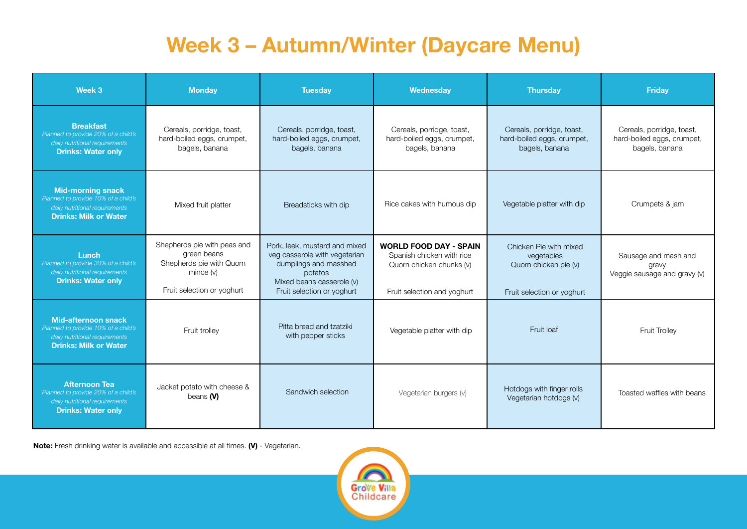## **Week 3 – Autumn/Winter (Daycare Menu)**

| Week 3                                                                                                                              | <b>Monday</b>                                                                                                     | <b>Tuesday</b>                                                                                                                                                | <b>Wednesday</b>                                                                                                      | <b>Thursday</b>                                                                             | <b>Friday</b>                                                             |
|-------------------------------------------------------------------------------------------------------------------------------------|-------------------------------------------------------------------------------------------------------------------|---------------------------------------------------------------------------------------------------------------------------------------------------------------|-----------------------------------------------------------------------------------------------------------------------|---------------------------------------------------------------------------------------------|---------------------------------------------------------------------------|
| <b>Breakfast</b><br>Planned to provide 20% of a child's<br>daily nutritional requirements<br><b>Drinks: Water only</b>              | Cereals, porridge, toast,<br>hard-boiled eggs, crumpet,<br>bagels, banana                                         | Cereals, porridge, toast,<br>hard-boiled eggs, crumpet,<br>bagels, banana                                                                                     | Cereals, porridge, toast,<br>hard-boiled eggs, crumpet,<br>bagels, banana                                             | Cereals, porridge, toast,<br>hard-boiled eggs, crumpet,<br>bagels, banana                   | Cereals, porridge, toast,<br>hard-boiled eggs, crumpet,<br>bagels, banana |
| <b>Mid-morning snack</b><br>Planned to provide 10% of a child's<br>daily nutritional requirements<br><b>Drinks: Milk or Water</b>   | Mixed fruit platter                                                                                               | Breadsticks with dip                                                                                                                                          | Rice cakes with humous dip                                                                                            | Vegetable platter with dip                                                                  | Crumpets & jam                                                            |
| Lunch<br>Planned to provide 30% of a child's<br>daily nutritional requirements<br><b>Drinks: Water only</b>                         | Shepherds pie with peas and<br>green beans<br>Shepherds pie with Quorn<br>mince (v)<br>Fruit selection or yoghurt | Pork, leek, mustard and mixed<br>veg casserole with vegetarian<br>dumplings and masshed<br>potatos<br>Mixed beans casserole (v)<br>Fruit selection or yoghurt | <b>WORLD FOOD DAY - SPAIN</b><br>Spanish chicken with rice<br>Quorn chicken chunks (v)<br>Fruit selection and yoghurt | Chicken Pie with mixed<br>vegetables<br>Quorn chicken pie (v)<br>Fruit selection or yoghurt | Sausage and mash and<br>gravy<br>Veggie sausage and gravy (v)             |
| <b>Mid-afternoon snack</b><br>Planned to provide 10% of a child's<br>daily nutritional requirements<br><b>Drinks: Milk or Water</b> | Fruit trolley                                                                                                     | Pitta bread and tzatziki<br>with pepper sticks                                                                                                                | Vegetable platter with dip                                                                                            | Fruit loaf                                                                                  | Fruit Trolley                                                             |
| <b>Afternoon Tea</b><br>Planned to provide 20% of a child's<br>daily nutritional requirements<br><b>Drinks: Water only</b>          | Jacket potato with cheese &<br>beans $(N)$                                                                        | Sandwich selection                                                                                                                                            | Vegetarian burgers (v)                                                                                                | Hotdogs with finger rolls<br>Vegetarian hotdogs (v)                                         | Toasted waffles with beans                                                |